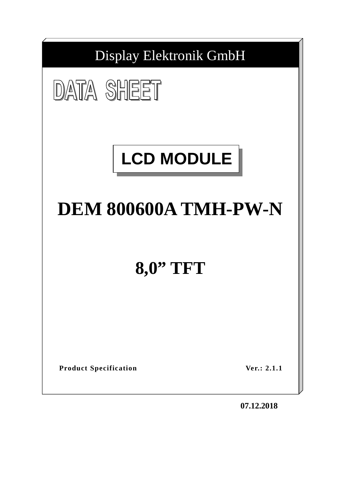

**07.12.2018**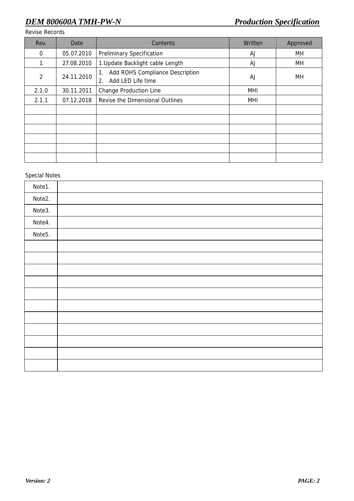Revise Records

| Rev.  | Date       | Contents                                                         | Written    | Approved |
|-------|------------|------------------------------------------------------------------|------------|----------|
| 0     | 05.07.2010 | <b>Preliminary Specification</b>                                 | AJ         | MН       |
| 1     | 27.08.2010 | 1. Update Backlight cable Length                                 | AJ         | MН       |
| 2     | 24.11.2010 | Add ROHS Compliance Description<br>1.<br>Add LED Life time<br>2. | AJ         | MН       |
| 2.1.0 | 30.11.2011 | <b>Change Production Line</b>                                    | <b>MHI</b> |          |
| 2.1.1 | 07.12.2018 | Revise the Dimensional Outlines                                  | MHI        |          |
|       |            |                                                                  |            |          |
|       |            |                                                                  |            |          |
|       |            |                                                                  |            |          |
|       |            |                                                                  |            |          |
|       |            |                                                                  |            |          |
|       |            |                                                                  |            |          |

#### Special Notes

| Note1. |  |
|--------|--|
| Note2. |  |
| Note3. |  |
| Note4. |  |
| Note5. |  |
|        |  |
|        |  |
|        |  |
|        |  |
|        |  |
|        |  |
|        |  |
|        |  |
|        |  |
|        |  |
|        |  |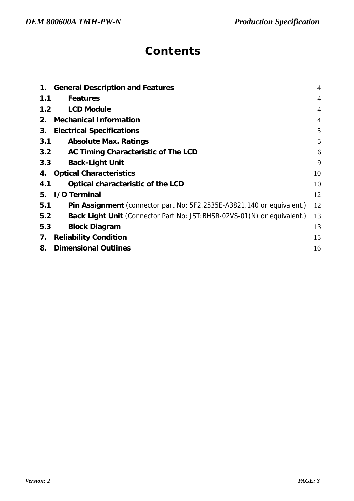# **Contents**

| 1.  | <b>General Description and Features</b>                                 | $\overline{4}$ |
|-----|-------------------------------------------------------------------------|----------------|
| 1.1 | <b>Features</b>                                                         | $\overline{4}$ |
| 1.2 | <b>LCD Module</b>                                                       | $\overline{4}$ |
| 2.  | <b>Mechanical Information</b>                                           | $\overline{4}$ |
| 3.  | <b>Electrical Specifications</b>                                        | 5              |
| 3.1 | <b>Absolute Max. Ratings</b>                                            | 5              |
| 3.2 | AC Timing Characteristic of The LCD                                     | 6              |
| 3.3 | <b>Back-Light Unit</b>                                                  | 9              |
| 4.  | <b>Optical Characteristics</b>                                          | 10             |
| 4.1 | Optical characteristic of the LCD                                       | 10             |
| 5.  | <b>I/O</b> Terminal                                                     | 12             |
| 5.1 | Pin Assignment (connector part No: 5F2.2535E-A3821.140 or equivalent.)  | 12             |
| 5.2 | Back Light Unit (Connector Part No: JST:BHSR-02VS-01(N) or equivalent.) | 13             |
| 5.3 | <b>Block Diagram</b>                                                    | 13             |
| 7.  | <b>Reliability Condition</b>                                            | 15             |
| 8.  | <b>Dimensional Outlines</b>                                             | 16             |
|     |                                                                         |                |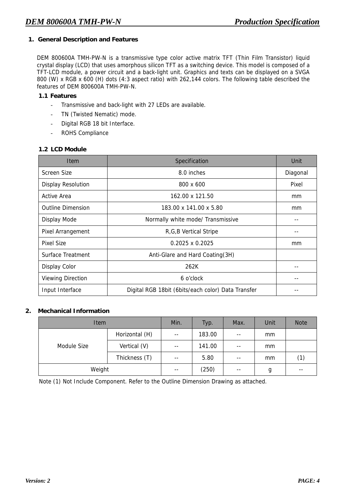#### **1. General Description and Features**

DEM 800600A TMH-PW-N is a transmissive type color active matrix TFT (Thin Film Transistor) liquid crystal display (LCD) that uses amorphous silicon TFT as a switching device. This model is composed of a TFT-LCD module, a power circuit and a back-light unit. Graphics and texts can be displayed on a SVGA 800 (W) x RGB x 600 (H) dots (4:3 aspect ratio) with 262,144 colors. The following table described the features of DEM 800600A TMH-PW-N.

#### **1.1 Features**

- Transmissive and back-light with 27 LEDs are available.
- TN (Twisted Nematic) mode.
- Digital RGB 18 bit Interface.
- ROHS Compliance

#### **1.2 LCD Module**

| <b>Item</b>               | Specification                                      | Unit     |
|---------------------------|----------------------------------------------------|----------|
| Screen Size               | 8.0 inches                                         | Diagonal |
| <b>Display Resolution</b> | 800 x 600                                          | Pixel    |
| <b>Active Area</b>        | 162.00 x 121.50                                    | mm       |
| <b>Outline Dimension</b>  | 183.00 x 141.00 x 5.80                             | mm       |
| Display Mode              | Normally white mode/ Transmissive                  |          |
| Pixel Arrangement         | R, G, B Vertical Stripe                            |          |
| <b>Pixel Size</b>         | $0.2025 \times 0.2025$                             | mm       |
| Surface Treatment         | Anti-Glare and Hard Coating(3H)                    |          |
| Display Color             | 262K                                               |          |
| <b>Viewing Direction</b>  | 6 o'clock                                          | --       |
| Input Interface           | Digital RGB 18bit (6bits/each color) Data Transfer |          |

#### **2. Mechanical Information**

| Item        |                | Min.  | Typ.   | Max.  | Unit | <b>Note</b> |
|-------------|----------------|-------|--------|-------|------|-------------|
| Module Size | Horizontal (H) | $- -$ | 183.00 | $- -$ | mm   |             |
|             | Vertical (V)   | $- -$ | 141.00 | $- -$ | mm   |             |
|             | Thickness (T)  | $- -$ | 5.80   | $- -$ | mm   | (1)         |
| Weight      |                | $- -$ | (250)  | $- -$ | g    | $- -$       |

Note (1) Not Include Component. Refer to the Outline Dimension Drawing as attached.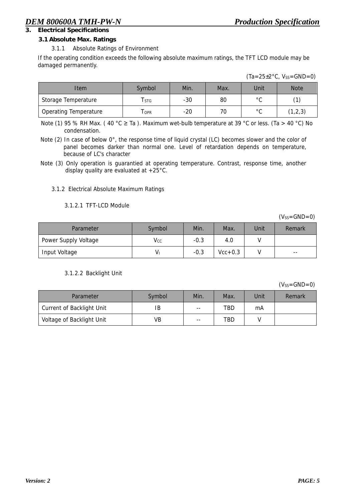# **3. Electrical Specifications**

#### **3.1 Absolute Max. Ratings**

#### 3.1.1 Absolute Ratings of Environment

If the operating condition exceeds the following absolute maximum ratings, the TFT LCD module may be damaged permanently.

| Item                         | Symbol | Min.  | Max. | Unit           |         |
|------------------------------|--------|-------|------|----------------|---------|
| Storage Temperature          | l STG  | $-30$ | 80   | $\circ$ $\sim$ |         |
| <b>Operating Temperature</b> | I OPR  | $-20$ | 70   | $\circ$ $\sim$ | (1,2,3) |

Note (1) 95 % RH Max. (40 °C  $\geq$  Ta ). Maximum wet-bulb temperature at 39 °C or less. (Ta > 40 °C) No condensation.

Note (2) In case of below 0°, the response time of liquid crystal (LC) becomes slower and the color of panel becomes darker than normal one. Level of retardation depends on temperature, because of LC's character

#### 3.1.2 Electrical Absolute Maximum Ratings

#### 3.1.2.1 TFT-LCD Module

 $(V_{SS}=GND=0)$ 

| Parameter            | Symbol         | Min.   | Max.      | Unit | Remark |
|----------------------|----------------|--------|-----------|------|--------|
| Power Supply Voltage | $\mathsf{Vcc}$ | $-0.3$ | 4.0       |      |        |
| Input Voltage        | V۱             | $-0.3$ | $Vcc+0.3$ |      | $- -$  |

#### 3.1.2.2 Backlight Unit

 $(V<sub>SS</sub>=GND=0)$ 

| Parameter                        | Symbol | Min.  | Max.       | Unit | Remark |
|----------------------------------|--------|-------|------------|------|--------|
| <b>Current of Backlight Unit</b> | IB     | $- -$ | <b>TBD</b> | mA   |        |
| Voltage of Backlight Unit        | VB     | $- -$ | TBD        |      |        |

Note (3) Only operation is guarantied at operating temperature. Contrast, response time, another display quality are evaluated at +25°C.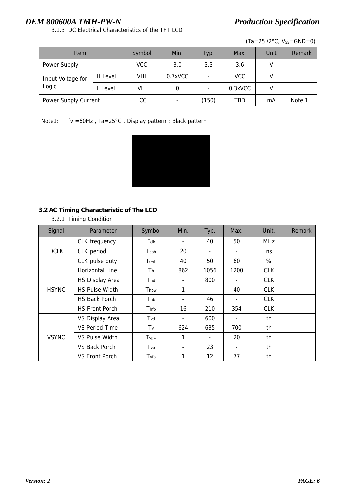3.1.3 DC Electrical Characteristics of the TFT LCD

 $(Ta=25\pm2\degree C, V_{SS}=GND=0)$ 

| <b>Item</b>                |         | Symbol | Min.    | Typ.                     | Max.       | Unit | Remark |
|----------------------------|---------|--------|---------|--------------------------|------------|------|--------|
| Power Supply               |         | VCC.   | 3.0     | 3.3                      | 3.6        |      |        |
| Input Voltage for<br>Logic | H Level | VIH    | 0.7xVCC |                          | <b>VCC</b> |      |        |
|                            | L Level | VIL    |         | $\overline{\phantom{0}}$ | $0.3$ xVCC | ٧    |        |
| Power Supply Current       |         | ICC    | -       | (150)                    | TBD        | mA   | Note 1 |

Note1: fv =60Hz , Ta=25°C , Display pattern : Black pattern



# **3.2 AC Timing Characteristic of The LCD**

#### 3.2.1 Timing Condition

| Signal       | Parameter              | Symbol                     | Min. | Typ. | Max. | Unit.      | <b>Remark</b> |
|--------------|------------------------|----------------------------|------|------|------|------------|---------------|
|              | <b>CLK</b> frequency   | Fclk                       | ٠    | 40   | 50   | <b>MHz</b> |               |
| <b>DCLK</b>  | CLK period             | Tcph                       | 20   | ٠    | ٠    | ns         |               |
|              | CLK pulse duty         | Tcwh                       | 40   | 50   | 60   | %          |               |
|              | <b>Horizontal Line</b> | Th                         | 862  | 1056 | 1200 | <b>CLK</b> |               |
|              | <b>HS Display Area</b> | $\mathsf{T}_{\mathsf{hd}}$ | ٠    | 800  | ٠    | <b>CLK</b> |               |
| <b>HSYNC</b> | <b>HS Pulse Width</b>  | Thpw                       | 1    | ٠    | 40   | <b>CLK</b> |               |
|              | <b>HS Back Porch</b>   | Thb                        | ٠    | 46   | ٠    | <b>CLK</b> |               |
|              | <b>HS Front Porch</b>  | Thfp                       | 16   | 210  | 354  | <b>CLK</b> |               |
|              | VS Display Area        | T <sub>vd</sub>            | ٠    | 600  | ۰    | th         |               |
| <b>VSYNC</b> | <b>VS Period Time</b>  | Tv                         | 624  | 635  | 700  | th         |               |
|              | <b>VS Pulse Width</b>  | Tvpw                       | 1    | ٠    | 20   | th         |               |
|              | <b>VS Back Porch</b>   | Tvb                        | ٠    | 23   | ۰    | th         |               |
|              | <b>VS Front Porch</b>  | Tvfp                       | 1    | 12   | 77   | th         |               |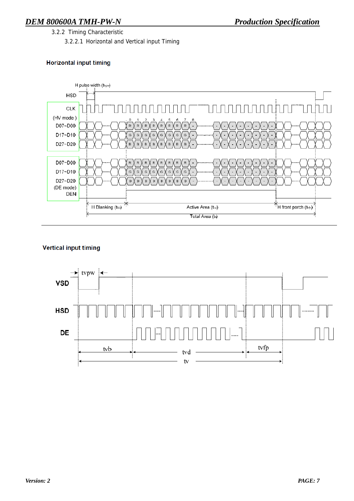3.2.2 Timing Characteristic

3.2.2.1 Horizontal and Vertical input Timing

#### **Horizontal input timing**



#### **Vertical input timing**

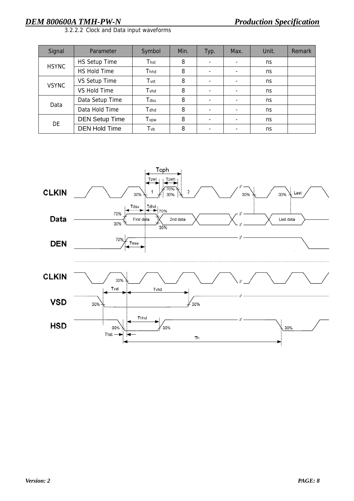| Signal       | Parameter             | Symbol | Min. | Typ.                     | Max.                     | Unit. | Remark |
|--------------|-----------------------|--------|------|--------------------------|--------------------------|-------|--------|
| <b>HSYNC</b> | HS Setup Time         | Thst   | 8    | ٠                        | $\overline{\phantom{0}}$ | ns    |        |
|              | <b>HS Hold Time</b>   | Thhd   | 8    | ٠                        | $\overline{\phantom{0}}$ | ns    |        |
| <b>VSYNC</b> | VS Setup Time         | Tvst   | 8    | ٠                        | $\overline{\phantom{0}}$ | ns    |        |
|              | <b>VS Hold Time</b>   | Tvhd   | 8    | ٠                        | $\overline{\phantom{0}}$ | ns    |        |
| Data         | Data Setup Time       | Tdsu   | 8    | ٠                        | $\overline{\phantom{0}}$ | ns    |        |
|              | Data Hold Time        | Tdhd   | 8    | ۰                        | $\overline{\phantom{0}}$ | ns    |        |
| DE           | <b>DEN Setup Time</b> | Tvpw   | 8    | ۰                        | ۰                        | ns    |        |
|              | <b>DEN Hold Time</b>  | Tvb    | 8    | $\overline{\phantom{0}}$ | ۰                        | ns    |        |



3.2.2.2 Clock and Data input waveforms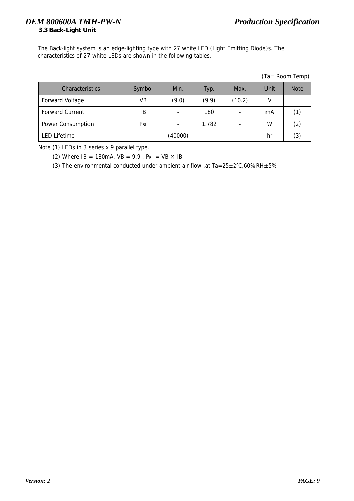**3.3 Back-Light Unit** 

The Back-light system is an edge-lighting type with 27 white LED (Light Emitting Diode)s. The characteristics of 27 white LEDs are shown in the following tables.

| (Ta= Room Temp) |  |
|-----------------|--|
|-----------------|--|

| <b>Characteristics</b> | Symbol                   | Min.                     | Typ.  | Max.   | Unit | <b>Note</b>       |
|------------------------|--------------------------|--------------------------|-------|--------|------|-------------------|
| <b>Forward Voltage</b> | VB                       | (9.0)                    | (9.9) | (10.2) |      |                   |
| <b>Forward Current</b> | ΙB                       | $\overline{\phantom{a}}$ | 180   | -      | mA   |                   |
| Power Consumption      | $P_{BL}$                 | $\overline{\phantom{a}}$ | 1.782 | -      | w    | $\left( 2\right)$ |
| <b>LED Lifetime</b>    | $\overline{\phantom{0}}$ | (40000)                  | -     | -      | hr   | (3)               |

Note (1) LEDs in 3 series x 9 parallel type.

(2) Where  $IB = 180mA$ ,  $VB = 9.9$ ,  $P_{BL} = VB \times IB$ 

(3) The environmental conducted under ambient air flow, at  $Ta = 25 \pm 2^{\circ}C$ , 60%RH $\pm 5\%$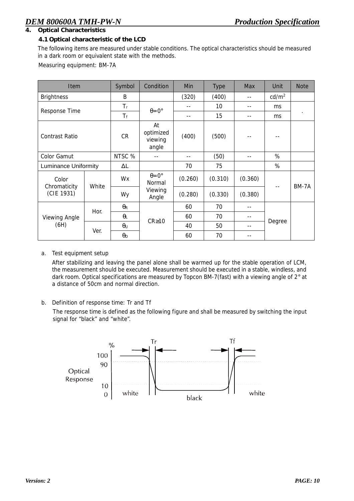#### **4. Optical Characteristics**

#### **4.1 Optical characteristic of the LCD**

The following items are measured under stable conditions. The optical characteristics should be measured in a dark room or equivalent state with the methods.

Measuring equipment: BM-7A

| <b>Item</b>                 |       | Symbol                | Condition                           | Min     | <b>Type</b> | <b>Note</b> |                   |         |
|-----------------------------|-------|-----------------------|-------------------------------------|---------|-------------|-------------|-------------------|---------|
| <b>Brightness</b>           |       | В                     |                                     | (320)   | (400)       | --          | cd/m <sup>2</sup> |         |
|                             |       | $T_r$                 |                                     | --      | 10          | $- -$       | ms                |         |
| Response Time               |       | $T_f$                 | $\theta = 0^{\circ}$                | --      | 15          | $- -$       | ms                | $\cdot$ |
| <b>Contrast Ratio</b>       |       | <b>CR</b>             | At<br>optimized<br>viewing<br>angle | (400)   | (500)       |             |                   |         |
| Color Gamut                 |       | NTSC %                | --                                  | --      | (50)        | $-$         | %                 |         |
| <b>Luminance Uniformity</b> |       | ΔL                    |                                     | 70      | 75          |             | %                 |         |
| Color<br>Chromaticity       | White | Wx                    | $\theta = 0^{\circ}$<br>Normal      | (0.260) | (0.310)     | (0.360)     |                   | BM-7A   |
| (CIE 1931)                  |       | Wy                    | Viewing<br>Angle                    | (0.280) | (0.330)     | (0.380)     | $-$               |         |
|                             |       | $\theta_{\mathsf{R}}$ |                                     | 60      | 70          | --          |                   |         |
| Viewing Angle<br>(6H)       | Hor.  | $\theta_L$            | $CR \ge 10$                         | 60      | 70          | $-$         |                   |         |
|                             | Ver.  | $\theta$ u            |                                     | 40      | 50          | --          | Degree            |         |
|                             |       | $\theta_D$            |                                     | 60      | 70          | --          |                   |         |

#### a. Test equipment setup

After stabilizing and leaving the panel alone shall be warmed up for the stable operation of LCM, the measurement should be executed. Measurement should be executed in a stable, windless, and dark room. Optical specifications are measured by Topcon BM-7(fast) with a viewing angle of 2° at a distance of 50cm and normal direction.

#### b. Definition of response time: Tr and Tf

The response time is defined as the following figure and shall be measured by switching the input signal for "black" and "white".

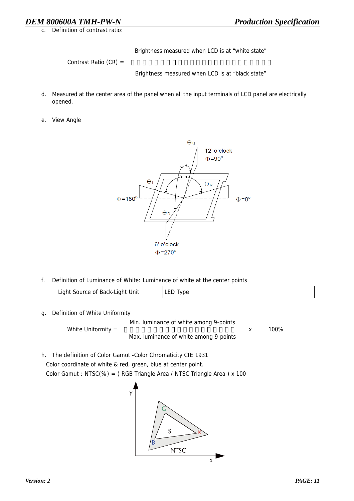c. Definition of contrast ratio:

Brightness measured when LCD is at "white state"

Contrast Ratio (CR) =

Brightness measured when LCD is at "black state"

- d. Measured at the center area of the panel when all the input terminals of LCD panel are electrically opened.
- e. View Angle



f. Definition of Luminance of White: Luminance of white at the center points

| Light Source of Back-Light Unit | LED Type |
|---------------------------------|----------|
|---------------------------------|----------|

g. Definition of White Uniformity

Min. luminance of white among 9-points White Uniformity =  $\frac{100\%}{800\%}$ Max. luminance of white among 9-points

h. The definition of Color Gamut -Color Chromaticity CIE 1931 Color coordinate of white & red, green, blue at center point. Color Gamut : NTSC(%) = ( RGB Triangle Area / NTSC Triangle Area ) x 100

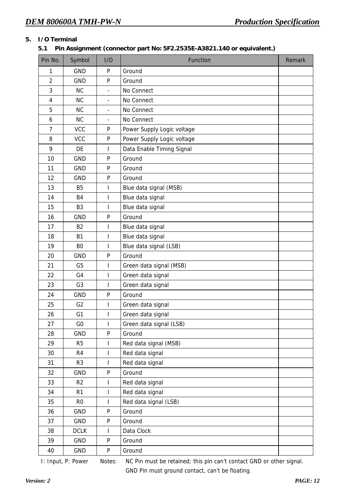### **5. I/O Terminal**

#### **5.1 Pin Assignment (connector part No: 5F2.2535E-A3821.140 or equivalent.)**

| Pin No.        | Symbol         | I/O                      | Function                   | Remark |
|----------------|----------------|--------------------------|----------------------------|--------|
| 1              | <b>GND</b>     | P                        | Ground                     |        |
| $\overline{2}$ | <b>GND</b>     | P                        | Ground                     |        |
| 3              | <b>NC</b>      | $\overline{a}$           | No Connect                 |        |
| $\overline{4}$ | <b>NC</b>      | $\overline{\phantom{a}}$ | No Connect                 |        |
| 5              | <b>NC</b>      | $\overline{\phantom{0}}$ | No Connect                 |        |
| 6              | <b>NC</b>      | ä,                       | No Connect                 |        |
| $\overline{7}$ | <b>VCC</b>     | P                        | Power Supply Logic voltage |        |
| 8              | <b>VCC</b>     | P                        | Power Supply Logic voltage |        |
| 9              | DE             | I                        | Data Enable Timing Signal  |        |
| 10             | <b>GND</b>     | P                        | Ground                     |        |
| 11             | <b>GND</b>     | P                        | Ground                     |        |
| 12             | <b>GND</b>     | P                        | Ground                     |        |
| 13             | <b>B5</b>      | I                        | Blue data signal (MSB)     |        |
| 14             | <b>B4</b>      | I                        | Blue data signal           |        |
| 15             | B <sub>3</sub> | I                        | Blue data signal           |        |
| 16             | <b>GND</b>     | P                        | Ground                     |        |
| 17             | <b>B2</b>      | I                        | Blue data signal           |        |
| 18             | <b>B1</b>      | I                        | Blue data signal           |        |
| 19             | B <sub>0</sub> | I                        | Blue data signal (LSB)     |        |
| 20             | <b>GND</b>     | P                        | Ground                     |        |
| 21             | G <sub>5</sub> | ı                        | Green data signal (MSB)    |        |
| 22             | G <sub>4</sub> | I                        | Green data signal          |        |
| 23             | G <sub>3</sub> | I                        | Green data signal          |        |
| 24             | <b>GND</b>     | P                        | Ground                     |        |
| 25             | G <sub>2</sub> | I                        | Green data signal          |        |
| 26             | G <sub>1</sub> | I                        | Green data signal          |        |
| 27             | G <sub>0</sub> | L                        | Green data signal (LSB)    |        |
| 28             | <b>GND</b>     | P                        | Ground                     |        |
| 29             | R <sub>5</sub> | L                        | Red data signal (MSB)      |        |
| 30             | R4             | I                        | Red data signal            |        |
| 31             | R <sub>3</sub> | I                        | Red data signal            |        |
| 32             | GND            | P                        | Ground                     |        |
| 33             | R <sub>2</sub> | I                        | Red data signal            |        |
| 34             | R <sub>1</sub> | I                        | Red data signal            |        |
| 35             | R <sub>0</sub> | I                        | Red data signal (LSB)      |        |
| 36             | GND            | P                        | Ground                     |        |
| 37             | GND            | ${\sf P}$                | Ground                     |        |
| 38             | <b>DCLK</b>    | L                        | Data Clock                 |        |
| 39             | GND            | ${\sf P}$                | Ground                     |        |
| 40             | GND            | P                        | Ground                     |        |

I: Input, P: Power Notes: NC Pin must be retained; this pin can't contact GND or other signal.

GND Pin must ground contact, can't be floating.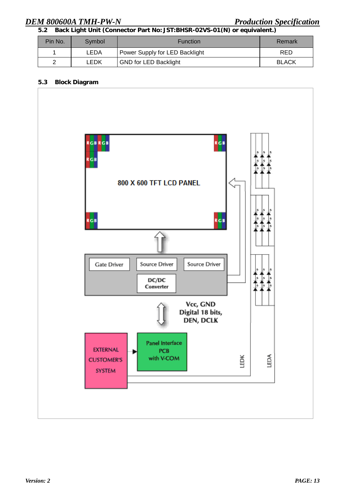**5.2 Back Light Unit (Connector Part No: JST:BHSR-02VS-01(N) or equivalent.)** 

| Pin No. | Symbol | <b>Function</b>                | Remark       |
|---------|--------|--------------------------------|--------------|
|         | LEDA   | Power Supply for LED Backlight | <b>RED</b>   |
| ົ       | LEDK   | <b>GND for LED Backlight</b>   | <b>BLACK</b> |

#### **5.3 Block Diagram**

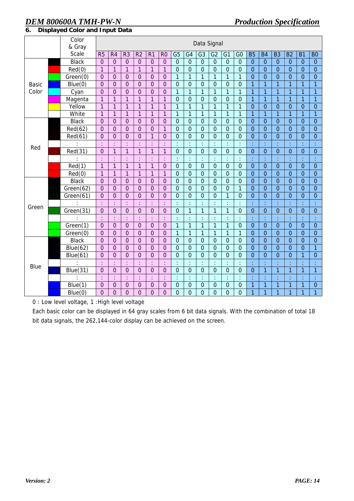|              | Color        | Data Signal    |                      |                |                |                |                  |                      |                  |                |                  |                  |                |                |                |                |                |                |                |
|--------------|--------------|----------------|----------------------|----------------|----------------|----------------|------------------|----------------------|------------------|----------------|------------------|------------------|----------------|----------------|----------------|----------------|----------------|----------------|----------------|
|              | & Gray       |                |                      |                |                |                |                  |                      |                  |                |                  |                  |                |                |                |                |                |                |                |
|              | <b>Scale</b> | R <sub>5</sub> | R <sub>4</sub>       | R <sub>3</sub> | R <sub>2</sub> | R <sub>1</sub> | R <sub>0</sub>   | G <sub>5</sub>       | G <sub>4</sub>   | G <sub>3</sub> | G <sub>2</sub>   | G1               | G <sub>0</sub> | <b>B5</b>      | <b>B4</b>      | <b>B3</b>      | <b>B2</b>      | <b>B1</b>      | B <sub>0</sub> |
|              | <b>Black</b> | $\overline{0}$ | $\overline{0}$       | $\overline{0}$ | $\overline{0}$ | $\overline{0}$ | $\overline{0}$   | $\overline{0}$       | $\overline{0}$   | $\overline{0}$ | $\overline{0}$   | $\overline{0}$   | $\overline{0}$ | $\overline{0}$ | $\overline{0}$ | $\mathbf{0}$   | $\overline{0}$ | $\mathbf{0}$   | $\mathbf 0$    |
|              | Red(0)       | 1              | $\mathbf{1}$         | $\mathbf{1}$   | $\mathbf{1}$   | $\mathbf{1}$   | $\mathbf{1}$     | $\mathbf 0$          | $\mathbf 0$      | $\mathbf 0$    | $\mathbf 0$      | $\mathbf 0$      | $\mathbf 0$    | $\overline{0}$ | $\overline{0}$ | $\mathbf{0}$   | $\overline{0}$ | $\mathbf 0$    | $\mathbf{0}$   |
|              | Green(0)     | $\overline{0}$ | $\overline{0}$       | $\mathbf{0}$   | $\mathbf 0$    | $\mathbf 0$    | $\mathbf 0$      | $\overline{1}$       | $\mathbf{1}$     | $\overline{1}$ | $\mathbf{1}$     | $\mathbf{1}$     | $\overline{1}$ | $\overline{0}$ | $\overline{0}$ | $\overline{0}$ | $\overline{0}$ | $\overline{0}$ | $\overline{0}$ |
| <b>Basic</b> | Blue(0)      | $\overline{0}$ | $\mathbf 0$          | $\mathbf{0}$   | $\overline{0}$ | $\mathbf 0$    | $\mathbf 0$      | $\mathbf 0$          | $\overline{0}$   | $\overline{0}$ | $\mathbf 0$      | $\overline{0}$   | $\mathbf 0$    | $\overline{1}$ | 1              | $\overline{1}$ | $\overline{1}$ | 1              | 1              |
| Color        | Cyan         | $\overline{0}$ | $\overline{0}$       | $\mathbf{0}$   | $\mathbf 0$    | $\mathbf 0$    | $\overline{0}$   | $\mathbf{1}$         | $\mathbf{1}$     | $\overline{1}$ | $\mathbf{1}$     | $\mathbf{1}$     | $\overline{1}$ | $\mathbf{1}$   | $\mathbf{1}$   | $\overline{1}$ | $\overline{1}$ | 1              | 1              |
|              | Magenta      | $\overline{1}$ | $\overline{1}$       | $\overline{1}$ | $\overline{1}$ | $\mathbf{1}$   | $\overline{1}$   | $\overline{0}$       | $\overline{0}$   | $\overline{0}$ | $\overline{0}$   | $\mathbf 0$      | $\overline{0}$ | $\overline{1}$ | $\mathbf{1}$   | $\overline{1}$ | $\overline{1}$ | $\overline{1}$ | $\overline{1}$ |
|              | Yellow       | $\mathbf{1}$   | $\mathbf{1}$         | $\mathbf{1}$   | 1              | $\mathbf{1}$   | $\mathbf{1}$     | $\overline{1}$       | 1                | $\overline{1}$ | $\overline{1}$   | $\mathbf{1}$     | $\overline{1}$ | $\overline{0}$ | $\mathbf 0$    | $\overline{0}$ | $\mathbf 0$    | $\overline{0}$ | $\mathbf 0$    |
|              | White        | $\mathbf{1}$   | $\overline{1}$       | $\overline{1}$ | $\overline{1}$ | $\overline{1}$ | $\overline{1}$   | $\overline{1}$       | $\mathbf{1}$     | $\mathbf{1}$   | $\overline{1}$   | $\overline{1}$   | $\overline{1}$ | $\overline{1}$ | $\overline{1}$ | $\overline{1}$ | $\overline{1}$ | 1              | $\overline{1}$ |
|              | <b>Black</b> | $\overline{0}$ | $\overline{0}$       | $\mathbf{0}$   | $\mathbf 0$    | $\mathbf 0$    | $\mathbf 0$      | $\mathbf 0$          | $\overline{0}$   | $\overline{0}$ | $\mathbf 0$      | $\overline{0}$   | $\mathbf 0$    | $\overline{0}$ | $\overline{0}$ | $\overline{0}$ | $\overline{0}$ | $\overline{0}$ | $\overline{0}$ |
|              | Red(62)      | $\overline{0}$ | $\overline{0}$       | $\mathbf{0}$   | $\mathbf 0$    | $\mathbf 0$    | $\mathbf{1}$     | $\mathbf 0$          | $\overline{0}$   | $\overline{0}$ | $\overline{0}$   | $\mathbf 0$      | $\mathbf 0$    | $\overline{0}$ | $\overline{0}$ | $\overline{0}$ | $\overline{0}$ | $\overline{0}$ | $\mathbf{0}$   |
|              | Red(61)      | $\overline{0}$ | $\mathbf 0$          | $\mathbf{0}$   | $\overline{0}$ | $\overline{1}$ | $\mathbf 0$      | $\mathbf 0$          | $\overline{0}$   | $\overline{0}$ | $\mathbf 0$      | $\overline{0}$   | $\overline{0}$ | $\mathbf{0}$   | $\overline{0}$ | $\overline{0}$ | $\mathbf{0}$   | $\overline{0}$ | $\mathbf{0}$   |
| Red          |              | ł,             | ċ                    | ÷              | ł.             | ł.             | ŧ                | ŧ                    | t                | ÷              | ÷                | ł,               | ŧ              | ŧ              | t              |                | ł,             | ř.             | t,             |
|              | Red(31)      | $\overline{0}$ | $\mathbf{1}$         | $\mathbf{1}$   | 1              | $\mathbf{1}$   | $\mathbf{1}$     | $\overline{0}$       | $\overline{0}$   | $\mathbf 0$    | $\mathbf 0$      | $\mathbf 0$      | $\mathbf 0$    | $\overline{0}$ | $\overline{0}$ | $\overline{0}$ | $\overline{0}$ | $\overline{0}$ | $\overline{0}$ |
|              |              | ł,             | ł.                   | ł.             | ł.             | ł              | ţ.               | ł,                   | ŀ                | ł,             | ÷                | ł,               | ł,             | ł,             | ł,             |                | ł,             | ł,             |                |
|              | Red(1)       | $\mathbf{1}$   | $\overline{1}$       | $\overline{1}$ | $\overline{1}$ | $\overline{1}$ | $\mathbf 0$      | $\mathbf 0$          | $\mathbf 0$      | $\mathbf 0$    | $\mathbf 0$      | $\overline{0}$   | $\overline{0}$ | $\overline{0}$ | $\overline{0}$ | $\mathbf{0}$   | $\mathbf 0$    | $\mathbf{0}$   | $\overline{0}$ |
|              | Red(0)       | 1              | $\mathbf{1}$         | $\mathbf{1}$   | 1              | $\mathbf{1}$   | $\mathbf{1}$     | $\mathbf 0$          | $\overline{0}$   | $\mathbf 0$    | $\mathbf 0$      | $\overline{0}$   | $\mathbf 0$    | $\mathbf{0}$   | 0              | $\overline{0}$ | $\mathbf{0}$   | $\mathbf 0$    | $\mathbf{0}$   |
|              | <b>Black</b> | $\Omega$       | $\mathbf 0$          | $\overline{0}$ | $\overline{0}$ | $\mathbf 0$    | $\mathbf 0$      | $\mathbf 0$          | $\overline{0}$   | $\overline{0}$ | $\overline{0}$   | $\overline{0}$   | $\mathbf 0$    | $\overline{0}$ | $\overline{0}$ | $\overline{0}$ | $\mathbf{0}$   | $\overline{0}$ | $\overline{0}$ |
|              | Green(62)    | $\Omega$       | $\overline{0}$       | $\overline{0}$ | $\mathbf{0}$   | $\mathbf 0$    | $\overline{0}$   | $\overline{0}$       | $\overline{0}$   | $\overline{0}$ | $\overline{0}$   | $\overline{0}$   | $\mathbf{1}$   | $\overline{0}$ | $\overline{0}$ | $\overline{0}$ | $\mathbf{0}$   | $\overline{0}$ | $\overline{0}$ |
|              | Green(61)    | $\overline{0}$ | $\overline{0}$       | $\mathbf 0$    | $\mathbf 0$    | $\overline{0}$ | $\overline{0}$   | $\mathbf 0$          | $\overline{0}$   | $\overline{0}$ | $\overline{0}$   | $\overline{1}$   | $\overline{0}$ | $\overline{0}$ | $\overline{0}$ | $\overline{0}$ | $\overline{0}$ | $\overline{0}$ | $\mathbf 0$    |
| Green        |              | ÷              | ċ                    | ł,             | ł,             | ł,             | $\frac{1}{2}$    | ŧ                    | t                | ŧ              | ÷                | ł,               | ł,             | ÷              | ł,             |                | ł,             | ł,             | t,             |
|              | Green(31)    | $\overline{0}$ | $\overline{0}$       | $\mathbf{0}$   | $\mathbf 0$    | $\overline{0}$ | $\overline{0}$   | $\overline{0}$       | 1                | $\mathbf{1}$   | $\mathbf{1}$     | $\mathbf{1}$     | $\mathbf 0$    | $\overline{0}$ | $\overline{0}$ | $\overline{0}$ | $\overline{0}$ | $\overline{0}$ | $\overline{0}$ |
|              |              |                | t                    |                | t              | ÷              | ÷                | ÷                    | t                | ÷              |                  | ÷                | ÷              | ÷              | t              |                | ł,             | ł,             |                |
|              | Green(1)     | $\overline{0}$ | $\mathbf 0$          | $\overline{0}$ | $\mathbf{0}$   | $\mathbf 0$    | $\overline{0}$   | $\mathbf{1}$         | $\mathbf{1}$     | $\overline{1}$ | $\overline{1}$   | $\mathbf{1}$     | $\overline{0}$ | $\overline{0}$ | $\overline{0}$ | $\overline{0}$ | $\mathbf{0}$   | $\overline{0}$ | $\overline{0}$ |
|              | Green(0)     | $\overline{0}$ | $\overline{0}$       | $\overline{0}$ | $\mathbf{0}$   | $\mathbf 0$    | $\overline{0}$   | $\mathbf{1}$         | $\mathbf{1}$     | $\overline{1}$ | $\overline{1}$   | $\overline{1}$   | $\overline{1}$ | $\overline{0}$ | $\overline{0}$ | $\overline{0}$ | $\overline{0}$ | $\overline{0}$ | $\overline{0}$ |
|              | <b>Black</b> | $\overline{0}$ | $\overline{0}$       | $\mathbf{0}$   | $\overline{0}$ | $\overline{0}$ | $\overline{0}$   | $\mathbf 0$          | $\mathbf 0$      | $\mathbf 0$    | $\mathbf 0$      | $\mathbf 0$      | $\mathbf 0$    | $\overline{0}$ | $\overline{0}$ | $\mathbf{0}$   | $\mathbf 0$    | $\overline{0}$ | $\mathbf{0}$   |
|              | Blue(62)     | $\overline{0}$ | $\overline{0}$       | $\mathbf 0$    | $\mathbf 0$    | $\overline{0}$ | $\overline{0}$   | $\overline{0}$       | $\overline{0}$   | $\overline{0}$ | $\overline{0}$   | $\overline{0}$   | $\overline{0}$ | $\overline{0}$ | $\overline{0}$ | $\overline{0}$ | $\overline{0}$ | $\overline{0}$ | $\overline{1}$ |
|              | Blue(61)     | $\overline{0}$ | $\mathbf 0$          | $\mathbf{0}$   | $\overline{0}$ | $\mathbf 0$    | $\mathbf 0$      | $\overline{0}$       | $\overline{0}$   | $\overline{0}$ | $\mathbf 0$      | $\overline{0}$   | $\overline{0}$ | $\mathbf{0}$   | $\overline{0}$ | $\overline{0}$ | $\mathbf{0}$   | 1              | $\overline{0}$ |
|              |              | ł.             | $\ddot{\phantom{a}}$ | ł.             | ł.             | ł.             | ł.               | ł,                   | ċ                | ł,             |                  | ł,               | ł,             | ł,             | ł,             |                | ÷              | ł,             | t              |
| <b>Blue</b>  | Blue(31)     | $\overline{0}$ | $\mathbf 0$          | $\mathbf 0$    | $\mathbf 0$    | $\mathbf 0$    | $\mathbf 0$      | $\overline{0}$       | $\overline{0}$   | $\overline{0}$ | $\overline{0}$   | $\overline{0}$   | $\overline{0}$ | $\overline{0}$ | 1              | $\overline{1}$ | $\overline{1}$ | 1              | 1              |
|              |              | ł,             | t,                   |                | ł,             | ł.             | $\ddot{\cdot}$   | $\ddot{\phantom{a}}$ |                  | ÷              |                  | ł,               | ł,             | ÷              | t              |                | t              | t              |                |
|              | Blue(1)      | 0              | $\mathbf 0$          | $\pmb{0}$      | $\pmb{0}$      | $\mathbf 0$    | $\boldsymbol{0}$ | $\mathbf 0$          | $\boldsymbol{0}$ | $\mathbf 0$    | $\boldsymbol{0}$ | $\boldsymbol{0}$ | $\mathbf 0$    | 1              | $\mathbf{1}$   | $\overline{1}$ | 1              | 1              | $\mathbf 0$    |
|              | Blue(0)      | $\overline{0}$ | $\overline{0}$       | $\overline{0}$ | $\overline{0}$ | $\overline{0}$ | $\overline{0}$   | $\overline{0}$       | $\overline{0}$   | $\overline{0}$ | $\overline{0}$   | $\overline{0}$   | $\overline{0}$ | $\overline{1}$ | $\overline{1}$ | $\overline{1}$ | $\overline{1}$ | 1              | 1              |

**6. Displayed Color and Input Data**

0 : Low level voltage, 1 :High level voltage

Each basic color can be displayed in 64 gray scales from 6 bit data signals. With the combination of total 18 bit data signals, the 262,144-color display can be achieved on the screen.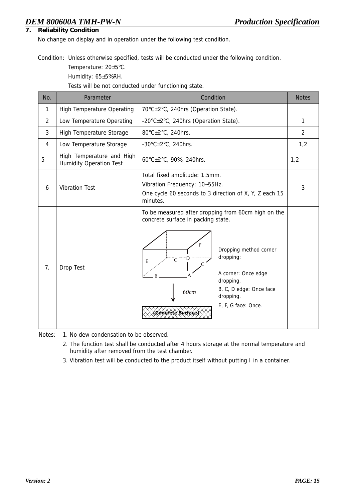#### **7. Reliability Condition**

No change on display and in operation under the following test condition.

Condition: Unless otherwise specified, tests will be conducted under the following condition.

Temperature: 20±5°C.

Humidity: 65±5%RH.

Tests will be not conducted under functioning state.

| No.            | Parameter                                                   | Condition                                                                                                                                                                                                                                                                     | <b>Notes</b>   |
|----------------|-------------------------------------------------------------|-------------------------------------------------------------------------------------------------------------------------------------------------------------------------------------------------------------------------------------------------------------------------------|----------------|
| $\mathbf{1}$   | <b>High Temperature Operating</b>                           | 70°C±2°C, 240hrs (Operation State).                                                                                                                                                                                                                                           |                |
| $\overline{2}$ | Low Temperature Operating                                   | -20°C±2°C, 240hrs (Operation State).                                                                                                                                                                                                                                          | $\mathbf{1}$   |
| 3              | High Temperature Storage                                    | 80°C±2°C, 240hrs.                                                                                                                                                                                                                                                             | $\overline{2}$ |
| 4              | Low Temperature Storage                                     | -30 $\textdegree$ C $\pm$ 2 $\textdegree$ C, 240hrs.                                                                                                                                                                                                                          | 1,2            |
| 5              | High Temperature and High<br><b>Humidity Operation Test</b> | 60°C±2°C, 90%, 240hrs.                                                                                                                                                                                                                                                        | 1,2            |
| 6              | <b>Vibration Test</b>                                       | Total fixed amplitude: 1.5mm.<br>Vibration Frequency: 10~55Hz.<br>One cycle 60 seconds to 3 direction of X, Y, Z each 15<br>minutes.                                                                                                                                          | 3              |
| 7.             | Drop Test                                                   | To be measured after dropping from 60cm high on the<br>concrete surface in packing state.<br>Е<br>Dropping method corner<br>dropping:<br>G<br>E<br>A corner: Once edge<br>dropping.<br>B, C, D edge: Once face<br>60cm<br>dropping.<br>E, F, G face: Once.<br>Concrete Surfac |                |

Notes: 1. No dew condensation to be observed.

- 2. The function test shall be conducted after 4 hours storage at the normal temperature and humidity after removed from the test chamber.
- 3. Vibration test will be conducted to the product itself without putting I in a container.